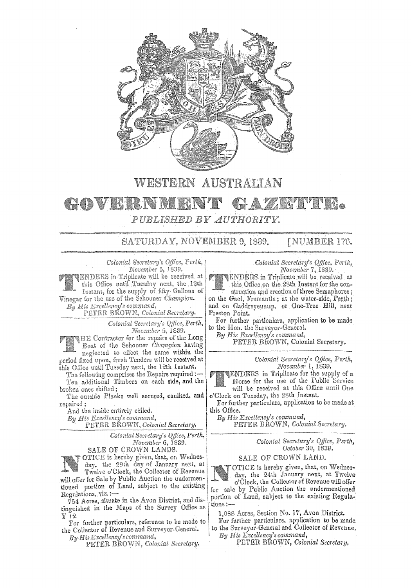

# **WESTERN AUSTRALIAN**

#### KO K. r. (b **IAR** *PUBLISHED BY AUTHORITY.*

SATURDAY, NOVEMBER 9, 1839. [NUMBER 176.

*Coionial Seoret:iry's Offece, Ferth,*  November 5, 1839.

ENDERS in Triplicate will be received at this Office until Tuesday next, the, i2th Instant, for the supply of fifty· Gallons Vinegar for the use of the Schooner *Champion*. *By His Excellency's command,* .

PETER BROWN, *Colonial Secretary.* 

*Colonial '3urelary's Qfflce, Perth, Noi:cmbu* 5, 1839.

HE Contractor for the repairs of Lhe Long Boat of the Schooner *Champion* having neglected to effect the same within the period fixed upon, fresh Tenders will be received at this Office until Tuesday next, the 12th Instant.

The following comprises the Repairs required:-Ten additional Timbers on each side, and the broken ones shifted;

The outside Planks well secured, caulked, and repaired;

And the inside entirely ceiled.

*By Ilis Excellency's command,* 

PETER BROWN, *Colonial Secretary.* 

*Colonial Secretary's Office, Perth, November 6,* 1839.

SALE OF CROWN LANDS. OTICE is hereby given, that, on Wednesday, the 29th day of January next, at

Twelve o'Clock, the Collector of Revenue will offer for Sale by Public Auction the undermentioned portion of Land, subject to the existing Regulations, viz.:-

754 Acres, situate in the Avon District, and distinguished in the **Mapa** of the Survey Office **as**  $Y$  (2)

For further particulars, reference to be made to the Collector of Revenue and Surveyor-General.

*ByHi., Excellency's command,*  **PETER** BRO\YN, *Coionial Seeretary.*  *Colonial Secretary'.~ Office, Pei'ilt, November* 7, 18.39.

ENDERS in Triplicate will be receiw:d **at**  this Office on the 28th Instant for the con-

struction and erection of three Semaphores; on the Gaol, Fremantle; at the water-side, Perth; and on Gaddreyeuuup, or One-Tree Hill, near Preston Point.

For further particulars, application to be made to the Hon. the Surveyor-General.

*By His Excellency's command,* 

PETER BHOWN, Colonial Secretary.

*Colonial Secretary's Qtfice, Perth, November* l, 1839.

ENDERS in Tripiicate for the supply of **<sup>a</sup>** Horse for the use of the Public Service will be received **at** this Office untii One <sup>o</sup>'Clock on Tueedav, the 28th Instant.

For further particulars, application to be made at this Office.

*By His Excellency's command,*  PETER BROWN, *Colonial Secretary.* 

> *Colonial Secretary's Office, Path, Octoba* 30, 1839,

SALE OF CROWN LAND.

OTICE is hereby given, that, on Wednesday, the 24th January next, at Twelve o'Clock, the Collector of Revenue will offer for sale by Public Auction the undermentioned portion of Land, subject to the existing Regulations:-

1,088 Acres, Section No. 17, Avon District.

For further **particulars,** application to be made. to the Surveyor-General and Collector of Revenue.

*By His R::cellency'3 command,*  PETER BROWN, *Colonial Secretary.*